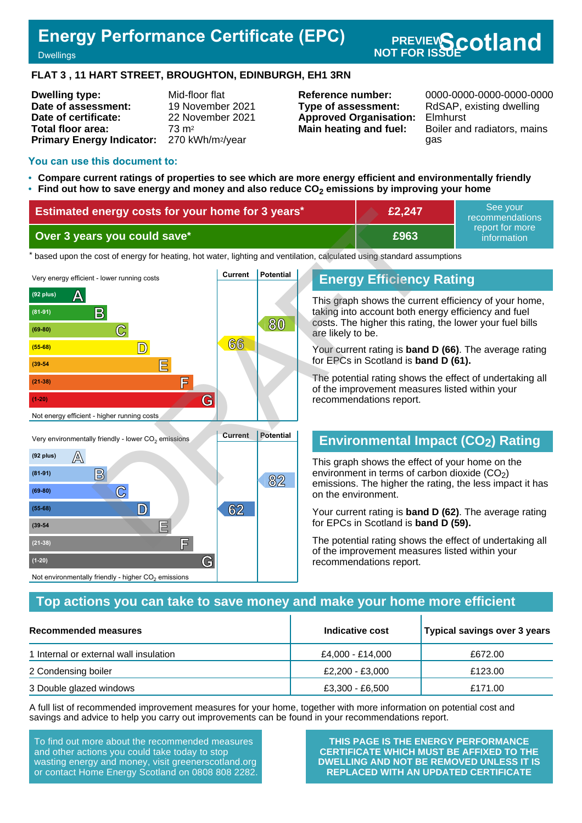# **Energy Performance Certificate (EPC)**

**Energy Performance Certificate (EPC)** PREVIEW**Scotland**<br>Dwellings

#### **FLAT 3 , 11 HART STREET, BROUGHTON, EDINBURGH, EH1 3RN**

| <b>Dwelling type:</b>                                  | Mid-floor flat   |
|--------------------------------------------------------|------------------|
| Date of assessment:                                    | 19 November 2021 |
| Date of certificate:                                   | 22 November 2021 |
| Total floor area:                                      | $73 \text{ m}^2$ |
| Primary Energy Indicator: 270 kWh/m <sup>2</sup> /year |                  |

**Type of assessment:** RdSAP, existing dwelling **Approved Organisation:** Elmhurst

**Reference number:** 0000-0000-0000-0000-0000 **Main heating and fuel:** Boiler and radiators, mains gas

#### **You can use this document to:**

- **Compare current ratings of properties to see which are more energy efficient and environmentally friendly**
- **Find out how to save energy and money and also reduce CO2 emissions by improving your home**

| Estimated energy costs for your home for 3 years* | £2,247 | See vour<br>recommendations    |
|---------------------------------------------------|--------|--------------------------------|
| Over 3 years you could save*                      | £963   | report for more<br>information |

the based upon the cost of energy for heating, hot water, lighting and ventilation, calculated using standard assumptions



## **Energy Efficiency Rating**

This graph shows the current efficiency of your home, taking into account both energy efficiency and fuel costs. The higher this rating, the lower your fuel bills are likely to be.

Your current rating is **band D (66)**. The average rating for EPCs in Scotland is **band D (61).**

The potential rating shows the effect of undertaking all of the improvement measures listed within your recommendations report.

# **Environmental Impact (CO2) Rating**

This graph shows the effect of your home on the environment in terms of carbon dioxide  $(CO<sub>2</sub>)$ emissions. The higher the rating, the less impact it has on the environment.

Your current rating is **band D (62)**. The average rating for EPCs in Scotland is **band D (59).**

The potential rating shows the effect of undertaking all of the improvement measures listed within your recommendations report.

## **Top actions you can take to save money and make your home more efficient**

| Recommended measures                   | Indicative cost  | Typical savings over 3 years |  |
|----------------------------------------|------------------|------------------------------|--|
| 1 Internal or external wall insulation | £4,000 - £14,000 | £672.00                      |  |
| 2 Condensing boiler                    | £2,200 - £3,000  | £123.00                      |  |
| 3 Double glazed windows                | £3,300 - £6,500  | £171.00                      |  |

A full list of recommended improvement measures for your home, together with more information on potential cost and savings and advice to help you carry out improvements can be found in your recommendations report.

To find out more about the recommended measures and other actions you could take today to stop wasting energy and money, visit greenerscotland.org or contact Home Energy Scotland on 0808 808 2282.

**THIS PAGE IS THE ENERGY PERFORMANCE CERTIFICATE WHICH MUST BE AFFIXED TO THE DWELLING AND NOT BE REMOVED UNLESS IT IS REPLACED WITH AN UPDATED CERTIFICATE**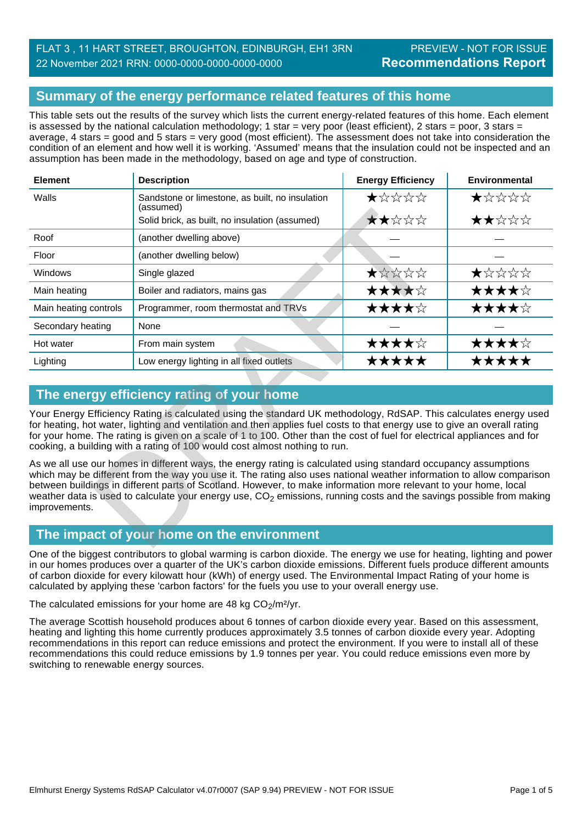# FLAT 3, 11 HART STREET, BROUGHTON, EDINBURGH, EH1 3RN PREVIEW - NOT FOR ISSUE 22 November 2021 RRN: 0000-0000-0000-0000-0000

## **Summary of the energy performance related features of this home**

This table sets out the results of the survey which lists the current energy-related features of this home. Each element is assessed by the national calculation methodology; 1 star = very poor (least efficient), 2 stars = poor, 3 stars = average, 4 stars = good and 5 stars = very good (most efficient). The assessment does not take into consideration the condition of an element and how well it is working. 'Assumed' means that the insulation could not be inspected and an assumption has been made in the methodology, based on age and type of construction.

| <b>Element</b>                                                                                                                                                                                                                                                                                                                                                                                                                                                                                                    | <b>Description</b>                                           | <b>Energy Efficiency</b> | <b>Environmental</b> |  |  |
|-------------------------------------------------------------------------------------------------------------------------------------------------------------------------------------------------------------------------------------------------------------------------------------------------------------------------------------------------------------------------------------------------------------------------------------------------------------------------------------------------------------------|--------------------------------------------------------------|--------------------------|----------------------|--|--|
| Walls                                                                                                                                                                                                                                                                                                                                                                                                                                                                                                             | Sandstone or limestone, as built, no insulation<br>(assumed) | ★☆☆☆☆                    | ★☆☆☆☆                |  |  |
|                                                                                                                                                                                                                                                                                                                                                                                                                                                                                                                   | Solid brick, as built, no insulation (assumed)               | ★★☆☆☆                    | ★★☆☆☆                |  |  |
| Roof                                                                                                                                                                                                                                                                                                                                                                                                                                                                                                              | (another dwelling above)                                     |                          |                      |  |  |
| Floor                                                                                                                                                                                                                                                                                                                                                                                                                                                                                                             | (another dwelling below)                                     |                          |                      |  |  |
| <b>Windows</b>                                                                                                                                                                                                                                                                                                                                                                                                                                                                                                    | Single glazed                                                | ★☆☆☆☆                    | ★☆☆☆☆                |  |  |
| Main heating                                                                                                                                                                                                                                                                                                                                                                                                                                                                                                      | Boiler and radiators, mains gas                              | ★★★★☆                    | ★★★★☆                |  |  |
| Main heating controls                                                                                                                                                                                                                                                                                                                                                                                                                                                                                             | Programmer, room thermostat and TRVs                         | ★★★★☆                    | ★★★★☆                |  |  |
| Secondary heating                                                                                                                                                                                                                                                                                                                                                                                                                                                                                                 | None                                                         |                          |                      |  |  |
| Hot water                                                                                                                                                                                                                                                                                                                                                                                                                                                                                                         | From main system                                             | ★★★★☆                    | ★★★★☆                |  |  |
| Lighting                                                                                                                                                                                                                                                                                                                                                                                                                                                                                                          | Low energy lighting in all fixed outlets                     | *****                    | ★★★★★                |  |  |
|                                                                                                                                                                                                                                                                                                                                                                                                                                                                                                                   |                                                              |                          |                      |  |  |
|                                                                                                                                                                                                                                                                                                                                                                                                                                                                                                                   | The energy efficiency rating of your home                    |                          |                      |  |  |
| Your Energy Efficiency Rating is calculated using the standard UK methodology, RdSAP. This calculates energy used<br>for heating, hot water, lighting and ventilation and then applies fuel costs to that energy use to give an overall rating<br>for your home. The rating is given on a scale of 1 to 100. Other than the cost of fuel for electrical appliances and for<br>cooking, a building with a rating of 100 would cost almost nothing to run.                                                          |                                                              |                          |                      |  |  |
| As we all use our homes in different ways, the energy rating is calculated using standard occupancy assumptions<br>which may be different from the way you use it. The rating also uses national weather information to allow comparison<br>between buildings in different parts of Scotland. However, to make information more relevant to your home, local<br>weather data is used to calculate your energy use, CO <sub>2</sub> emissions, running costs and the savings possible from making<br>improvements. |                                                              |                          |                      |  |  |
| The impact of your home on the environment                                                                                                                                                                                                                                                                                                                                                                                                                                                                        |                                                              |                          |                      |  |  |

# **The energy efficiency rating of your home**

# **The impact of your home on the environment**

One of the biggest contributors to global warming is carbon dioxide. The energy we use for heating, lighting and power in our homes produces over a quarter of the UK's carbon dioxide emissions. Different fuels produce different amounts of carbon dioxide for every kilowatt hour (kWh) of energy used. The Environmental Impact Rating of your home is calculated by applying these 'carbon factors' for the fuels you use to your overall energy use.

The calculated emissions for your home are 48 kg  $CO<sub>2</sub>/m<sup>2</sup>/yr$ .

The average Scottish household produces about 6 tonnes of carbon dioxide every year. Based on this assessment, heating and lighting this home currently produces approximately 3.5 tonnes of carbon dioxide every year. Adopting recommendations in this report can reduce emissions and protect the environment. If you were to install all of these recommendations this could reduce emissions by 1.9 tonnes per year. You could reduce emissions even more by switching to renewable energy sources.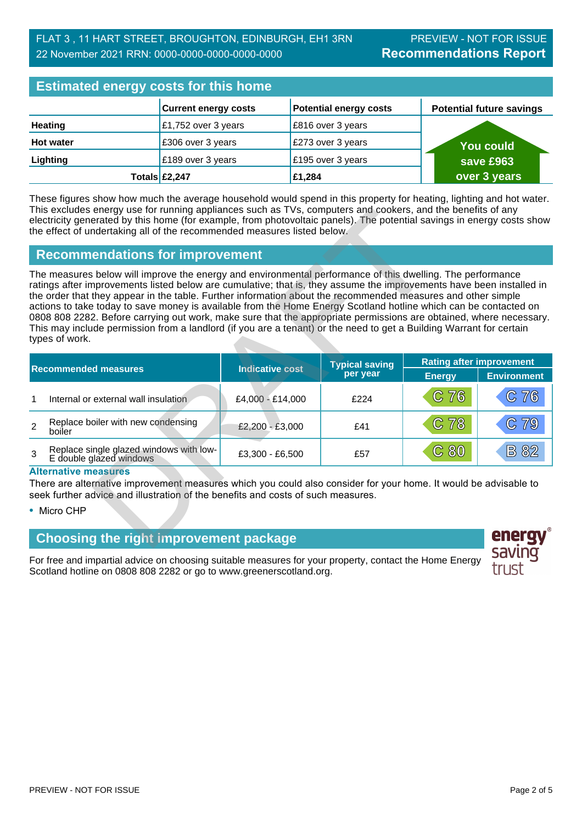# **Estimated energy costs for this home**

| <b>EQUILIBION CHUI YY VOOLO TOT LITTO HOHIU</b> |                             |                               |                                 |  |
|-------------------------------------------------|-----------------------------|-------------------------------|---------------------------------|--|
|                                                 | <b>Current energy costs</b> | <b>Potential energy costs</b> | <b>Potential future savings</b> |  |
| <b>Heating</b>                                  | £1,752 over 3 years         | £816 over 3 years             |                                 |  |
| <b>Hot water</b>                                | £306 over 3 years           | £273 over 3 years             | <b>You could</b>                |  |
| Lighting                                        | £189 over 3 years           | £195 over 3 years             | save £963                       |  |
|                                                 | Totals £2,247               | £1,284                        | over 3 years                    |  |

These figures show how much the average household would spend in this property for heating, lighting and hot water. This excludes energy use for running appliances such as TVs, computers and cookers, and the benefits of any electricity generated by this home (for example, from photovoltaic panels). The potential savings in energy costs show the effect of undertaking all of the recommended measures listed below.

## **Recommendations for improvement**

|                                                                                                                                                                                                                                                                                                                                                                                                                                                                                                                                                                                                                                                                                                                                       | This excludes energy use for running appliances such as TVs, computers and cookers, and the benefits of any<br>electricity generated by this home (for example, from photovoltaic panels). The potential savings in energy costs show<br>the effect of undertaking all of the recommended measures listed below. |                        |                                   |                                 |                           |
|---------------------------------------------------------------------------------------------------------------------------------------------------------------------------------------------------------------------------------------------------------------------------------------------------------------------------------------------------------------------------------------------------------------------------------------------------------------------------------------------------------------------------------------------------------------------------------------------------------------------------------------------------------------------------------------------------------------------------------------|------------------------------------------------------------------------------------------------------------------------------------------------------------------------------------------------------------------------------------------------------------------------------------------------------------------|------------------------|-----------------------------------|---------------------------------|---------------------------|
|                                                                                                                                                                                                                                                                                                                                                                                                                                                                                                                                                                                                                                                                                                                                       | <b>Recommendations for improvement</b>                                                                                                                                                                                                                                                                           |                        |                                   |                                 |                           |
| The measures below will improve the energy and environmental performance of this dwelling. The performance<br>ratings after improvements listed below are cumulative; that is, they assume the improvements have been installed in<br>the order that they appear in the table. Further information about the recommended measures and other simple<br>actions to take today to save money is available from the Home Energy Scotland hotline which can be contacted on<br>0808 808 2282. Before carrying out work, make sure that the appropriate permissions are obtained, where necessary.<br>This may include permission from a landlord (if you are a tenant) or the need to get a Building Warrant for certain<br>types of work. |                                                                                                                                                                                                                                                                                                                  |                        |                                   |                                 |                           |
| <b>Recommended measures</b>                                                                                                                                                                                                                                                                                                                                                                                                                                                                                                                                                                                                                                                                                                           |                                                                                                                                                                                                                                                                                                                  | <b>Indicative cost</b> | <b>Typical saving</b><br>per year | <b>Rating after improvement</b> |                           |
|                                                                                                                                                                                                                                                                                                                                                                                                                                                                                                                                                                                                                                                                                                                                       | Internal or external wall insulation                                                                                                                                                                                                                                                                             | £4,000 - £14,000       | £224                              | <b>Energy</b><br>C76            | <b>Environment</b><br>C76 |
| $\overline{2}$                                                                                                                                                                                                                                                                                                                                                                                                                                                                                                                                                                                                                                                                                                                        | Replace boiler with new condensing<br>boiler                                                                                                                                                                                                                                                                     | £2,200 - £3,000        | £41                               | C <sub>78</sub>                 | C79                       |
| 3                                                                                                                                                                                                                                                                                                                                                                                                                                                                                                                                                                                                                                                                                                                                     | Replace single glazed windows with low-<br>E double glazed windows                                                                                                                                                                                                                                               | £3,300 - £6,500        | £57                               | C80                             | <b>B82</b>                |
|                                                                                                                                                                                                                                                                                                                                                                                                                                                                                                                                                                                                                                                                                                                                       | <b>Alternative measures</b><br>There are alternative improvement measures which you could also consider for your home. It would be advisable to<br>seek further advice and illustration of the benefits and costs of such measures.<br>• Micro CHP                                                               |                        |                                   |                                 |                           |
|                                                                                                                                                                                                                                                                                                                                                                                                                                                                                                                                                                                                                                                                                                                                       | <b>Choosing the right improvement package</b>                                                                                                                                                                                                                                                                    |                        |                                   |                                 | ener                      |

#### **Alternative measures**

## **Choosing the right improvement package**

For free and impartial advice on choosing suitable measures for your property, contact the Home Energy Scotland hotline on 0808 808 2282 or go to www.greenerscotland.org.

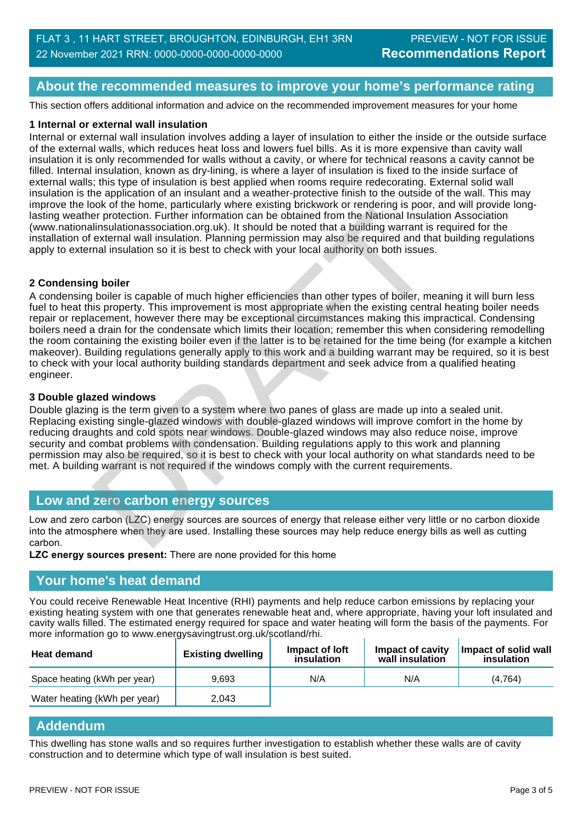## **About the recommended measures to improve your home's performance rating**

This section offers additional information and advice on the recommended improvement measures for your home

#### **1 Internal or external wall insulation**

Internal or external wall insulation involves adding a layer of insulation to either the inside or the outside surface of the external walls, which reduces heat loss and lowers fuel bills. As it is more expensive than cavity wall insulation it is only recommended for walls without a cavity, or where for technical reasons a cavity cannot be filled. Internal insulation, known as dry-lining, is where a layer of insulation is fixed to the inside surface of external walls; this type of insulation is best applied when rooms require redecorating. External solid wall insulation is the application of an insulant and a weather-protective finish to the outside of the wall. This may improve the look of the home, particularly where existing brickwork or rendering is poor, and will provide longlasting weather protection. Further information can be obtained from the National Insulation Association (www.nationalinsulationassociation.org.uk). It should be noted that a building warrant is required for the installation of external wall insulation. Planning permission may also be required and that building regulations apply to external insulation so it is best to check with your local authority on both issues.

#### **2 Condensing boiler**

A condensing boiler is capable of much higher efficiencies than other types of boiler, meaning it will burn less fuel to heat this property. This improvement is most appropriate when the existing central heating boiler needs repair or replacement, however there may be exceptional circumstances making this impractical. Condensing boilers need a drain for the condensate which limits their location; remember this when considering remodelling the room containing the existing boiler even if the latter is to be retained for the time being (for example a kitchen makeover). Building regulations generally apply to this work and a building warrant may be required, so it is best to check with your local authority building standards department and seek advice from a qualified heating engineer. er protection. Further information can be obtained from the National Insular<br>Illnellationssociation. Org.uk). It should be noted that a building warrant is external wall insulations. Planning permission may also be require

#### **3 Double glazed windows**

Double glazing is the term given to a system where two panes of glass are made up into a sealed unit. Replacing existing single-glazed windows with double-glazed windows will improve comfort in the home by reducing draughts and cold spots near windows. Double-glazed windows may also reduce noise, improve security and combat problems with condensation. Building regulations apply to this work and planning permission may also be required, so it is best to check with your local authority on what standards need to be met. A building warrant is not required if the windows comply with the current requirements.

## **Low and zero carbon energy sources**

Low and zero carbon (LZC) energy sources are sources of energy that release either very little or no carbon dioxide into the atmosphere when they are used. Installing these sources may help reduce energy bills as well as cutting carbon.

**LZC energy sources present:** There are none provided for this home

#### **Your home's heat demand**

You could receive Renewable Heat Incentive (RHI) payments and help reduce carbon emissions by replacing your existing heating system with one that generates renewable heat and, where appropriate, having your loft insulated and cavity walls filled. The estimated energy required for space and water heating will form the basis of the payments. For more information go to www.energysavingtrust.org.uk/scotland/rhi.

| <b>Heat demand</b>           | <b>Existing dwelling</b> | Impact of loft<br>insulation | Impact of cavity<br>wall insulation | Impact of solid wall<br>insulation |
|------------------------------|--------------------------|------------------------------|-------------------------------------|------------------------------------|
| Space heating (kWh per year) | 9.693                    | N/A                          | N/A                                 | (4.764)                            |
| Water heating (kWh per year) | 2.043                    |                              |                                     |                                    |

### **Addendum**

This dwelling has stone walls and so requires further investigation to establish whether these walls are of cavity construction and to determine which type of wall insulation is best suited.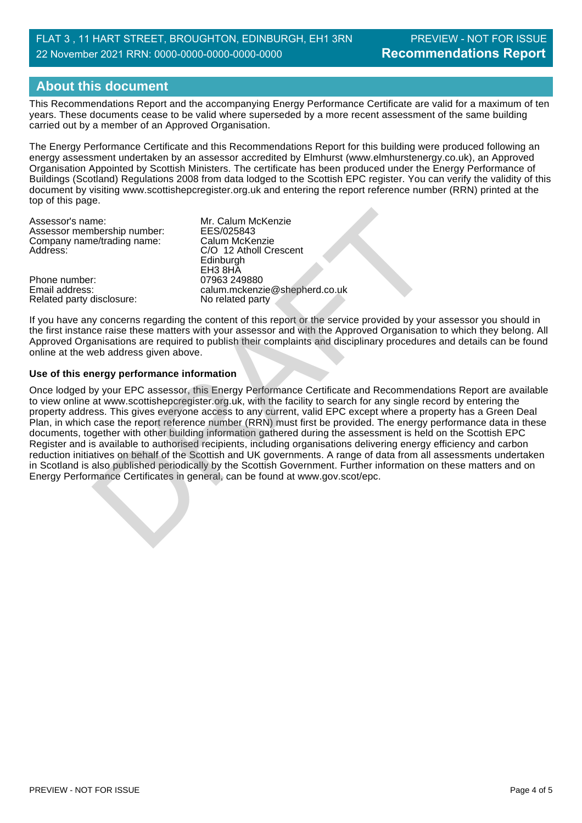# **About this document**

This Recommendations Report and the accompanying Energy Performance Certificate are valid for a maximum of ten years. These documents cease to be valid where superseded by a more recent assessment of the same building carried out by a member of an Approved Organisation.

The Energy Performance Certificate and this Recommendations Report for this building were produced following an energy assessment undertaken by an assessor accredited by Elmhurst (www.elmhurstenergy.co.uk), an Approved Organisation Appointed by Scottish Ministers. The certificate has been produced under the Energy Performance of Buildings (Scotland) Regulations 2008 from data lodged to the Scottish EPC register. You can verify the validity of this document by visiting www.scottishepcregister.org.uk and entering the report reference number (RRN) printed at the top of this page.

Assessor's name:<br>
Assessor membership number: EES/025843 Assessor membership number: EES/025843<br>Company name/trading name: Calum McKenzie Company name/trading name:<br>Address:

Phone number:<br>Email address: Related party disclosure: C/O 12 Atholl Crescent Edinburgh EH3 8HĂ<br>07963 249880 calum.mckenzie@shepherd.co.uk<br>No related party

If you have any concerns regarding the content of this report or the service provided by your assessor you should in the first instance raise these matters with your assessor and with the Approved Organisation to which they belong. All Approved Organisations are required to publish their complaints and disciplinary procedures and details can be found online at the web address given above.

#### **Use of this energy performance information**

Once lodged by your EPC assessor, this Energy Performance Certificate and Recommendations Report are available to view online at www.scottishepcregister.org.uk, with the facility to search for any single record by entering the property address. This gives everyone access to any current, valid EPC except where a property has a Green Deal Plan, in which case the report reference number (RRN) must first be provided. The energy performance data in these documents, together with other building information gathered during the assessment is held on the Scottish EPC Register and is available to authorised recipients, including organisations delivering energy efficiency and carbon reduction initiatives on behalf of the Scottish and UK governments. A range of data from all assessments undertaken in Scotland is also published periodically by the Scottish Government. Further information on these matters and on<br>Energy Performance Certificates in general, can be found at www.gov.scot/epc. Assessor's name:<br>
Mr. Calum McKenzie<br>
Company name/trading name:<br>
Calum McKenzie<br>
Company name/trading name:<br>
Calum McKenzie<br>
Edinburgh<br>
Phone number:<br>
Enta Brid ShA<br>
Enta Dress:<br>
Enta Dress Calum mcKenzie<br>
Certificate Cer